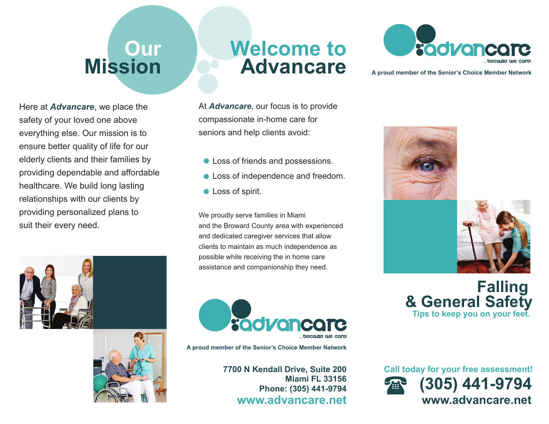# **Our Mission**

Here at *Advancare*, we place the safety of your loved one above everything else. Our mission is to ensure better quality of life for our elderly clients and their families by providing dependable and affordable healthcare. We build long lasting relationships with our clients by providing personalized plans to suit their every need.





## **Welcome toAdvancare**

At *Advancare*, our focus is to provide compassionate in-home care for seniors and help clients avoid:

- Loss of friends and possessions.
- **Loss of independence and freedom.**
- **C** Loss of spirit.

We proudly serve families in Miami and the Broward County area with experienced and dedicated caregiver services that allow clients to maintain as much independence as possible while receiving the in home care assistance and companionship they need.



**A proud member of the Senior's Choice Member Network**

**7700 N Kendall Drive, Suite 200 Miami FL 33156Phone: (305) 441-9794 www.advancare.net**



**A proud member of the Senior's Choice Member Network**





**Falling & General Safety Tips to keep you on your feet.**